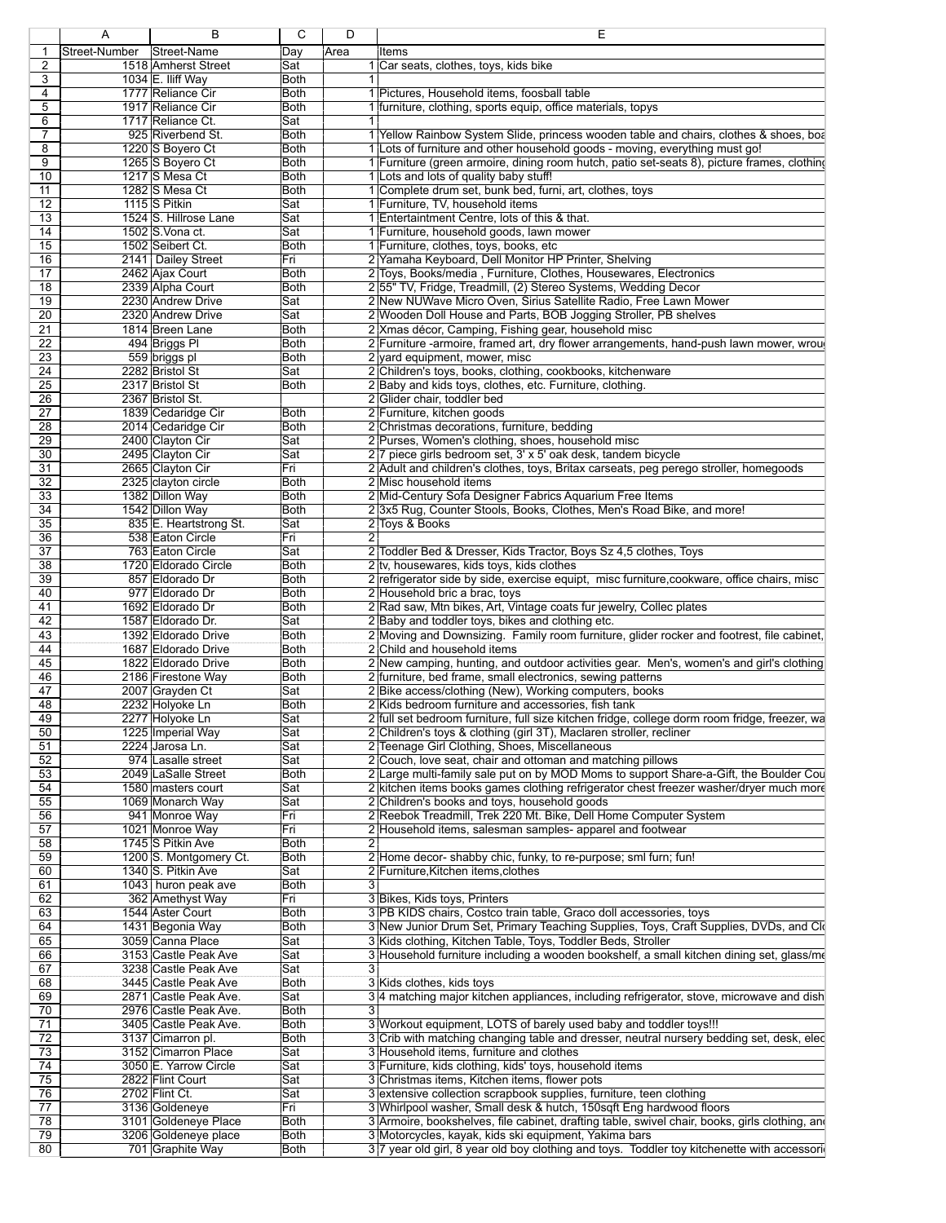|                                                               | R                                            |                         | D     |                                                                                                                                                         |
|---------------------------------------------------------------|----------------------------------------------|-------------------------|-------|---------------------------------------------------------------------------------------------------------------------------------------------------------|
| 1 Street-Number Street-Name                                   |                                              | Day                     | lArea | lltems                                                                                                                                                  |
|                                                               | 1518 Amherst Street                          | Sat                     |       | I  Car seats, clothes, toys, kids bike                                                                                                                  |
| $\overline{\mathbf{3}}$                                       | 1034 E. Iliff Way<br>1777 Reliance Cir       | Both<br>Both            |       |                                                                                                                                                         |
| $\overline{4}$                                                | 1917 Reliance Cir                            | Both                    |       | I  Pictures, Household items, foosball table<br>furniture, clothing, sports equip, office materials, topys                                              |
| $\frac{5}{6}$                                                 | 1717 Reliance Ct.                            | lSat                    |       |                                                                                                                                                         |
| $\boxed{7}$                                                   | 925 Riverbend St.                            | Both                    |       | Yellow Rainbow System Slide, princess wooden table and chairs, clothes & shoes, boa                                                                     |
|                                                               | 1220 S Boyero Ct                             | Both                    |       | 1 Lots of furniture and other household goods - moving, everything must go!                                                                             |
| $\frac{8}{9}$                                                 | 1265 S Boyero Ct                             | Both                    |       | 1 Furniture (green armoire, dining room hutch, patio set-seats 8), picture frames, clothing                                                             |
| 10                                                            | 1217 S Mesa Ct                               | Both                    |       | 1 Lots and lots of quality baby stuff!                                                                                                                  |
| $\boxed{11}$                                                  | 1282 S Mesa Ct                               | Both                    |       | 1 Complete drum set, bunk bed, furni, art, clothes, toys                                                                                                |
| 12                                                            | 1115 S Pitkin                                | Sat                     |       | 1 Furniture, TV, household items                                                                                                                        |
| $\sqrt{13}$<br>$\overline{14}$                                | 1524 S. Hillrose Lane<br>1502 S. Vona ct.    | İSat<br>Sat             |       | I Entertaintment Centre, lots of this & that.<br>1 Furniture, household goods, lawn mower                                                               |
| 15                                                            | 1502 Seibert Ct.                             | Both                    |       | 1 Furniture, clothes, toys, books, etc                                                                                                                  |
| 16                                                            | 2141 Dailey Street                           | Fri                     |       | 2 Yamaha Keyboard, Dell Monitor HP Printer, Shelving                                                                                                    |
| $\boxed{17}$                                                  | 2462 Ajax Court                              | Both                    |       | 2 Toys, Books/media, Furniture, Clothes, Housewares, Electronics                                                                                        |
| 18                                                            | 2339 Alpha Court                             | Both                    |       | 255" TV, Fridge, Treadmill, (2) Stereo Systems, Wedding Decor                                                                                           |
| $\boxed{19}$                                                  | 2230 Andrew Drive                            | Sat                     |       | 2 New NUWave Micro Oven, Sirius Satellite Radio, Free Lawn Mower                                                                                        |
| 20                                                            | 2320 Andrew Drive                            | Sat                     |       | 2 Wooden Doll House and Parts, BOB Jogging Stroller, PB shelves                                                                                         |
| $\sqrt{21}$                                                   | 1814 Breen Lane                              | Both                    |       | 2 Xmas décor, Camping, Fishing gear, household misc                                                                                                     |
| 22                                                            | 494 Briggs PI                                | Both                    |       | 2 Furniture -armoire, framed art, dry flower arrangements, hand-push lawn mower, wrough                                                                 |
| 23<br>24                                                      | 559 briggs pl<br>2282 Bristol St             | Both<br>Sat             |       | 2 yard equipment, mower, misc                                                                                                                           |
| 25                                                            | 2317 Bristol St                              | Both                    |       | 2 Children's toys, books, clothing, cookbooks, kitchenware<br>2 Baby and kids toys, clothes, etc. Furniture, clothing.                                  |
| 26                                                            | 2367 Bristol St.                             |                         |       | 2 Glider chair, toddler bed                                                                                                                             |
| 27                                                            | 1839 Cedaridge Cir                           | Both                    |       | 2 Furniture, kitchen goods                                                                                                                              |
| $\overline{28}$                                               | 2014 Cedaridge Cir                           | Both                    |       | 2 Christmas decorations, furniture, bedding                                                                                                             |
| 29                                                            | 2400 Clayton Cir                             | Sat                     |       | 2 Purses, Women's clothing, shoes, household misc                                                                                                       |
| 30<br>31                                                      | 2495 Clayton Cir<br>2665 Clayton Cir         | Sat<br>Fri              |       | 2 7 piece girls bedroom set, 3' x 5' oak desk, tandem bicycle                                                                                           |
| 32                                                            | 2325 clayton circle                          | Both                    |       | 2 Adult and children's clothes, toys, Britax carseats, peg perego stroller, homegoods<br>2 Misc household items                                         |
| 33                                                            | 1382 Dillon Way                              | Both                    |       | 2 Mid-Century Sofa Designer Fabrics Aquarium Free Items                                                                                                 |
| 34                                                            | 1542 Dillon Way                              | Both                    |       | 2 3x5 Rug, Counter Stools, Books, Clothes, Men's Road Bike, and more!                                                                                   |
| 35                                                            | 835 E. Heartstrong St.                       | Sat                     |       | 2 Toys & Books                                                                                                                                          |
| $\frac{36}{37}$                                               | 538 Eaton Circle                             | Fri                     |       |                                                                                                                                                         |
|                                                               | 763 Eaton Circle                             | Sat                     |       | 2 Toddler Bed & Dresser, Kids Tractor, Boys Sz 4,5 clothes, Toys                                                                                        |
| $\frac{38}{39}$                                               | 1720 Eldorado Circle<br>857 Eldorado Dr      | Both<br>Both            |       | 2 tv, housewares, kids toys, kids clothes                                                                                                               |
| 40                                                            | 977 Eldorado Dr                              | Both                    |       | 2 refrigerator side by side, exercise equipt, misc furniture, cookware, office chairs, misc<br>2 Household bric a brac, toys                            |
| $\overline{41}$                                               | 1692 Eldorado Dr                             | Both                    |       | 2 Rad saw, Mtn bikes, Art, Vintage coats fur jewelry, Collec plates                                                                                     |
| 42                                                            | 1587 Eldorado Dr.                            | Sat                     |       | 2 Baby and toddler toys, bikes and clothing etc.                                                                                                        |
| 43                                                            | 1392 Eldorado Drive                          | Both                    |       | 2 Moving and Downsizing. Family room furniture, glider rocker and footrest, file cabinet,                                                               |
| 44                                                            | 1687 Eldorado Drive                          | <b>Both</b>             |       | 2 Child and household items                                                                                                                             |
| 45                                                            | 1822 Eldorado Drive                          | Both                    |       | 2 New camping, hunting, and outdoor activities gear. Men's, women's and girl's clothing                                                                 |
| 46                                                            | 2186 Firestone Way                           | Both                    |       | 2 furniture, bed frame, small electronics, sewing patterns                                                                                              |
| $\overline{47}$<br>48                                         | 2007 Grayden Ct<br>2232 Holvoke Ln           | Sat<br>Both             |       | 2 Bike access/clothing (New), Working computers, books                                                                                                  |
| 49                                                            | 2277 Holyoke Ln                              | Sat                     |       | 2 Kids bedroom furniture and accessories, fish tank<br>2 full set bedroom furniture, full size kitchen fridge, college dorm room fridge, freezer, wa    |
| 50                                                            | 1225 Imperial Way                            | lSat                    |       | 2 Children's toys & clothing (girl 3T), Maclaren stroller, recliner                                                                                     |
| 51                                                            | 2224 Jarosa Ln.                              | Sat                     |       | Teenage Girl Clothing, Shoes, Miscellaneous                                                                                                             |
| 52                                                            | 974 Lasalle street                           | Sat                     |       | 2 Couch, love seat, chair and ottoman and matching pillows                                                                                              |
| 53                                                            | 2049 LaSalle Street                          | Both                    |       | 2 Large multi-family sale put on by MOD Moms to support Share-a-Gift, the Boulder Cou                                                                   |
| 54                                                            | 1580 masters court                           | Sat                     |       | 2 kitchen items books games clothing refrigerator chest freezer washer/dryer much more                                                                  |
| 55                                                            | 1069 Monarch Way                             | Sat                     |       | 2 Children's books and toys, household goods                                                                                                            |
| 56<br>57                                                      | 941 Monroe Way<br>1021 Monroe Way            | Fri<br>Fri              |       | 2 Reebok Treadmill, Trek 220 Mt. Bike, Dell Home Computer System<br>2 Household items, salesman samples- apparel and footwear                           |
|                                                               | 1745 S Pitkin Ave                            | Both                    |       |                                                                                                                                                         |
| $\frac{58}{59}$                                               | 1200 S. Montgomery Ct.                       | Both                    |       | 2 Home decor- shabby chic, funky, to re-purpose; sml furn; fun!                                                                                         |
|                                                               | 1340 S. Pitkin Ave                           | Sat                     |       | 2 Furniture Kitchen items clothes                                                                                                                       |
| $\begin{array}{r}\n 60 \\  \hline\n 61\n \end{array}$         | 1043 huron peak ave                          | Both                    |       |                                                                                                                                                         |
| $\frac{62}{63}$                                               | 362 Amethyst Way                             | Fri                     |       | 3 Bikes, Kids toys, Printers                                                                                                                            |
|                                                               | 1544 Aster Court                             | Both                    |       | 3 PB KIDS chairs, Costco train table, Graco doll accessories, toys                                                                                      |
| $\frac{64}{65}$                                               | 1431 Begonia Way                             | Both                    |       | 3 New Junior Drum Set, Primary Teaching Supplies, Toys, Craft Supplies, DVDs, and Clo                                                                   |
|                                                               | 3059 Canna Place                             | Sat                     |       | 3 Kids clothing, Kitchen Table, Toys, Toddler Beds, Stroller                                                                                            |
| $\begin{array}{ c c }\n\hline\n66 \\ \hline\n67\n\end{array}$ | 3153 Castle Peak Ave<br>3238 Castle Peak Ave | Sat<br>Sat              |       | Household furniture including a wooden bookshelf, a small kitchen dining set, glass/me                                                                  |
|                                                               | 3445 Castle Peak Ave                         | Both                    |       | 8 Kids clothes, kids toys                                                                                                                               |
| $\begin{array}{r} 68 \\ 69 \end{array}$                       | 2871 Castle Peak Ave.                        | Sat                     |       | 34 matching major kitchen appliances, including refrigerator, stove, microwave and dish                                                                 |
| 70                                                            | 2976 Castle Peak Ave.                        | Both                    |       |                                                                                                                                                         |
| $\boxed{71}$                                                  | 3405 Castle Peak Ave.                        | Both                    |       | Workout equipment, LOTS of barely used baby and toddler toys!!!                                                                                         |
| $\overline{72}$                                               | 3137 Cimarron pl.                            | Both                    |       | 3 Crib with matching changing table and dresser, neutral nursery bedding set, desk, elec                                                                |
| $\boxed{73}$                                                  | 3152 Cimarron Place                          | Sat                     |       | 3 Household items, furniture and clothes                                                                                                                |
| $\overline{74}$                                               | 3050 E. Yarrow Circle                        | $\overline{\text{Sat}}$ |       | 3 Furniture, kids clothing, kids' toys, household items                                                                                                 |
| 75                                                            | 2822 Flint Court                             | Sat                     |       | 3 Christmas items, Kitchen items, flower pots                                                                                                           |
| 76                                                            | 2702 Flint Ct.                               | Sat                     |       | 3 extensive collection scrapbook supplies, furniture, teen clothing                                                                                     |
| 77<br>78                                                      | 3136 Goldeneye<br>3101 Goldeneye Place       | Fri<br>Both             |       | 3 Whirlpool washer, Small desk & hutch, 150sqft Eng hardwood floors                                                                                     |
| 79                                                            | 3206 Goldeneye place                         | Both                    |       | 3 Armoire, bookshelves, file cabinet, drafting table, swivel chair, books, girls clothing, and<br>3 Motorcycles, kayak, kids ski equipment, Yakima bars |
| 80                                                            | 701 Graphite Way                             | Both                    |       | 3 7 year old girl, 8 year old boy clothing and toys. Toddler toy kitchenette with accessorio                                                            |